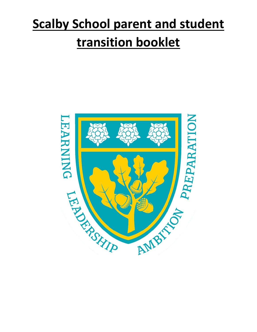# **Scalby School parent and student transition booklet**

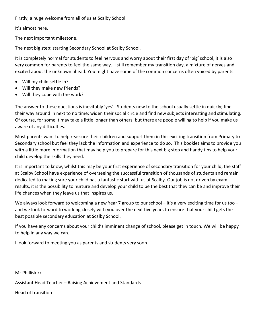Firstly, a huge welcome from all of us at Scalby School.

It's almost here.

The next important milestone.

The next big step: starting Secondary School at Scalby School.

It is completely normal for students to feel nervous and worry about their first day of 'big' school, it is also very common for parents to feel the same way. I still remember my transition day, a mixture of nerves and excited about the unknown ahead. You might have some of the common concerns often voiced by parents:

- Will my child settle in?
- Will they make new friends?
- Will they cope with the work?

The answer to these questions is inevitably 'yes'. Students new to the school usually settle in quickly; find their way around in next to no time; widen their social circle and find new subjects interesting and stimulating. Of course, for some it may take a little longer than others, but there are people willing to help if you make us aware of any difficulties.

Most parents want to help reassure their children and support them in this exciting transition from Primary to Secondary school but feel they lack the information and experience to do so. This booklet aims to provide you with a little more information that may help you to prepare for this next big step and handy tips to help your child develop the skills they need.

It is important to know, whilst this may be your first experience of secondary transition for your child, the staff at Scalby School have experience of overseeing the successful transition of thousands of students and remain dedicated to making sure your child has a fantastic start with us at Scalby. Our job is not driven by exam results, it is the possibility to nurture and develop your child to be the best that they can be and improve their life chances when they leave us that inspires us.

We always look forward to welcoming a new Year 7 group to our school – it's a very exciting time for us too – and we look forward to working closely with you over the next five years to ensure that your child gets the best possible secondary education at Scalby School.

If you have any concerns about your child's imminent change of school, please get in touch. We will be happy to help in any way we can.

I look forward to meeting you as parents and students very soon.

Mr Philliskirk Assistant Head Teacher – Raising Achievement and Standards

Head of transition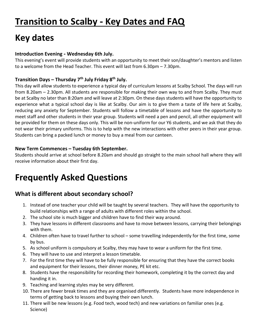# **Transition to Scalby** ‐ **Key Dates and FAQ**

# **Key dates**

#### **Introduction Evening** ‐ **Wednesday 6th July.**

This evening's event will provide students with an opportunity to meet their son/daughter's mentors and listen to a welcome from the Head Teacher. This event will last from 6.30pm – 7.30pm.

#### **Transition Days – Thursday 7th July Friday 8th July.**

This day will allow students to experience a typical day of curriculum lessons at Scalby School. The days will run from 8.20am – 2.30pm. All students are responsible for making their own way to and from Scalby. They must be at Scalby no later than 8:20am and will leave at 2:30pm. On these days students will have the opportunity to experience what a typical school day is like at Scalby. Our aim is to give them a taste of life here at Scalby, reducing any anxiety for September. Students will follow a timetable of lessons and have the opportunity to meet staff and other students in their year group. Students will need a pen and pencil, all other equipment will be provided for them on these days only. This will be non-uniform for our Y6 students, and we ask that they do not wear their primary uniforms. This is to help with the new interactions with other peers in their year group. Students can bring a packed lunch or money to buy a meal from our canteen.

#### **New Term Commences – Tuesday 6th September.**

Students should arrive at school before 8.20am and should go straight to the main school hall where they will receive information about their first day.

# **Frequently Asked Questions**

### **What is different about secondary school?**

- 1. Instead of one teacher your child will be taught by several teachers. They will have the opportunity to build relationships with a range of adults with different roles within the school.
- 2. The school site is much bigger and children have to find their way around.
- 3. They have lessons in different classrooms and have to move between lessons, carrying their belongings with them.
- 4. Children often have to travel further to school some travelling independently for the first time, some by bus.
- 5. As school uniform is compulsory at Scalby, they may have to wear a uniform for the first time.
- 6. They will have to use and interpret a lesson timetable.
- 7. For the first time they will have to be fully responsible for ensuring that they have the correct books and equipment for their lessons, their dinner money, PE kit etc.
- 8. Students have the responsibility for recording their homework, completing it by the correct day and handing it in.
- 9. Teaching and learning styles may be very different.
- 10. There are fewer break times and they are organised differently. Students have more independence in terms of getting back to lessons and buying their own lunch.
- 11. There will be new lessons (e.g. Food tech, wood tech) and new variations on familiar ones (e.g. Science)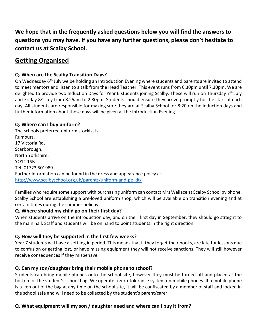**We hope that in the frequently asked questions below you will find the answers to questions you may have. If you have any further questions, please don't hesitate to contact us at Scalby School.** 

# **Getting Organised**

#### **Q. When are the Scalby Transition Days?**

On Wednesday 6<sup>th</sup> July we be holding an Introduction Evening where students and parents are invited to attend to meet mentors and listen to a talk from the Head Teacher. This event runs from 6.30pm until 7.30pm. We are delighted to provide two Induction Days for Year 6 students joining Scalby. These will run on Thursday 7<sup>th</sup> July and Friday 8th July from 8.25am to 2.30pm. Students should ensure they arrive promptly for the start of each day. All students are responsible for making sure they are at Scalby School for 8:20 on the induction days and further information about these days will be given at the Introduction Evening.

#### **Q. Where can I buy uniform?**

The schools preferred uniform stockist is Rumours, 17 Victoria Rd, Scarborough, North Yorkshire, YO11 1SB Tel: 01723 501989 Further Information can be found in the dress and appearance policy at: <http://www.scalbyschool.org.uk/parents/uniform-and-pe-kit/>

Families who require some support with purchasing uniform can contact Mrs Wallace at Scalby School by phone. Scalby School are establishing a pre-loved uniform shop, which will be available on transition evening and at certain times during the summer holiday.

#### **Q. Where should my child go on their first day?**

When students arrive on the introduction day, and on their first day in September, they should go straight to the main hall. Staff and students will be on hand to point students in the right direction.

#### **Q. How will they be supported in the first few weeks?**

Year 7 students will have a settling in period. This means that if they forget their books, are late for lessons due to confusion or getting lost, or have missing equipment they will not receive sanctions. They will still however receive consequences if they misbehave.

#### **Q. Can my son/daughter bring their mobile phone to school?**

Students can bring mobile phones onto the school site, however they must be turned off and placed at the bottom of the student's school bag. We operate a zero-tolerance system on mobile phones. If a mobile phone is taken out of the bag at any time on the school site, it will be confiscated by a member of staff and locked in the school safe and will need to be collected by the student's parent/carer.

#### **Q. What equipment will my son / daughter need and where can I buy it from?**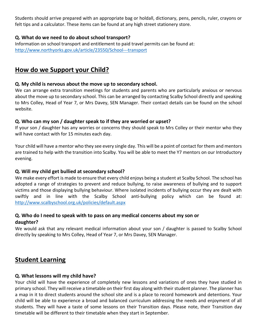Students should arrive prepared with an appropriate bag or holdall, dictionary, pens, pencils, ruler, crayons or felt tips and a calculator. These items can be found at any high street stationery store.

#### **Q. What do we need to do about school transport?**

Information on school transport and entitlement to paid travel permits can be found at: [http://www.northyorks.gov.uk/article/23550/School-](http://www.northyorks.gov.uk/article/23550/School%E2%80%90%E2%80%90%E2%80%90transport)--transport

## **How do we Support your Child?**

#### **Q. My child is nervous about the move up to secondary school.**

We can arrange extra transition meetings for students and parents who are particularly anxious or nervous about the move up to secondary school. This can be arranged by contacting Scalby School directly and speaking to Mrs Colley, Head of Year 7, or Mrs Davey, SEN Manager. Their contact details can be found on the school website.

#### **Q. Who can my son / daughter speak to if they are worried or upset?**

If your son / daughter has any worries or concerns they should speak to Mrs Colley or their mentor who they will have contact with for 15 minutes each day.

Your child will have a mentor who they see every single day. This will be a point of contact for them and mentors are trained to help with the transition into Scalby. You will be able to meet the Y7 mentors on our Introductory evening.

#### **Q. Will my child get bullied at secondary school?**

We make every effort is made to ensure that every child enjoys being a student at Scalby School. The school has adopted a range of strategies to prevent and reduce bullying, to raise awareness of bullying and to support victims and those displaying bullying behaviour. Where isolated incidents of bullying occur they are dealt with swiftly and in line with the Scalby School anti-bullying policy which can be found at: <http://www.scalbyschool.org.uk/policies/default.aspx>

# **Q. Who do I need to speak with to pass on any medical concerns about my son or**

#### **daughter?**

We would ask that any relevant medical information about your son / daughter is passed to Scalby School directly by speaking to Mrs Colley, Head of Year 7, or Mrs Davey, SEN Manager.

### **Student Learning**

#### **Q. What lessons will my child have?**

Your child will have the experience of completely new lessons and variations of ones they have studied in primary school. They will receive a timetable on their first day along with their student planner. The planner has a map in it to direct students around the school site and is a place to record homework and detentions. Your child will be able to experience a broad and balanced curriculum addressing the needs and enjoyment of all students. They will have a taste of some lessons on their Transition days. Please note, their Transition day timetable will be different to their timetable when they start in September.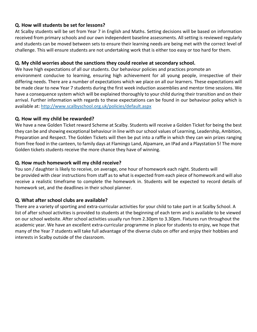#### **Q. How will students be set for lessons?**

At Scalby students will be set from Year 7 in English and Maths. Setting decisions will be based on information received from primary schools and our own independent baseline assessments. All setting is reviewed regularly and students can be moved between sets to ensure their learning needs are being met with the correct level of challenge. This will ensure students are not undertaking work that is either too easy or too hard for them.

#### **Q. My child worries about the sanctions they could receive at secondary school.**

We have high expectations of all our students. Our behaviour policies and practices promote an environment conducive to learning, ensuring high achievement for all young people, irrespective of their differing needs. There are a number of expectations which we place on all our learners. These expectations will be made clear to new Year 7 students during the first week induction assemblies and mentor time sessions. We have a consequence system which will be explained thoroughly to your child during their transition and on their arrival. Further information with regards to these expectations can be found in our behaviour policy which is available at: <http://www.scalbyschool.org.uk/policies/default.aspx>

#### **Q. How will my child be rewarded?**

We have a new Golden Ticket reward Scheme at Scalby. Students will receive a Golden Ticket for being the best they can be and showing exceptional behaviour in line with our school values of Learning, Leadership, Ambition, Preparation and Respect. The Golden Tickets will then be put into a raffle in which they can win prizes ranging from free food in the canteen, to family days at Flamingo Land, Alpamare, an IPad and a Playstation 5! The more Golden tickets students receive the more chance they have of winning.

#### **Q. How much homework will my child receive?**

You son / daughter is likely to receive, on average, one hour of homework each night. Students will be provided with clear instructions from staff as to what is expected from each piece of homework and will also receive a realistic timeframe to complete the homework in. Students will be expected to record details of homework set, and the deadlines in their school planner.

#### **Q. What after school clubs are available?**

There are a variety of sporting and extra-curricular activities for your child to take part in at Scalby School. A list of after school activities is provided to students at the beginning of each term and is available to be viewed on our school website. After school activities usually run from 2.30pm to 3.30pm. Fixtures run throughout the academic year. We have an excellent extra-curricular programme in place for students to enjoy, we hope that many of the Year 7 students will take full advantage of the diverse clubs on offer and enjoy their hobbies and interests in Scalby outside of the classroom.